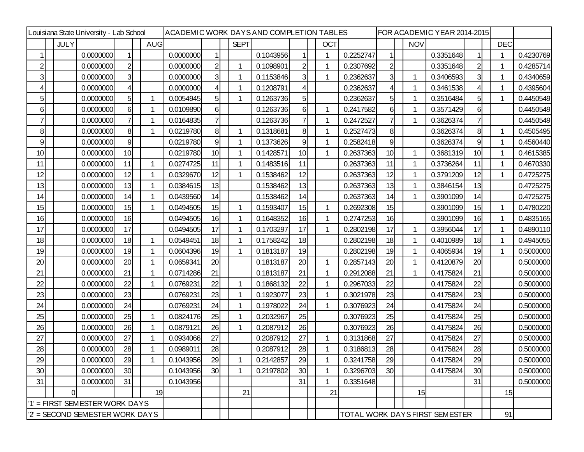| Louisiana State University - Lab School |             |           | ACADEMIC WORK DAYSAND COMPLETION TABLES |  |            |           |                |  |              |           |                | FOR ACADEMIC YEAR 2014-2015 |            |           |                 |             |                                |                |            |           |
|-----------------------------------------|-------------|-----------|-----------------------------------------|--|------------|-----------|----------------|--|--------------|-----------|----------------|-----------------------------|------------|-----------|-----------------|-------------|--------------------------------|----------------|------------|-----------|
|                                         | <b>JULY</b> |           |                                         |  | <b>AUG</b> |           |                |  | <b>SEPT</b>  |           |                |                             | <b>OCT</b> |           |                 | <b>NOV</b>  |                                |                | <b>DEC</b> |           |
|                                         |             | 0.0000000 |                                         |  |            | 0.0000000 | 1              |  |              | 0.1043956 |                |                             |            | 0.2252747 |                 |             | 0.3351648                      |                |            | 0.4230769 |
| $\overline{2}$                          |             | 0.0000000 | $\overline{2}$                          |  |            | 0.0000000 | $\overline{2}$ |  | $\mathbf{1}$ | 0.1098901 | $\overline{2}$ |                             |            | 0.2307692 | $\mathsf{2}$    |             | 0.3351648                      | $\overline{2}$ | -1         | 0.4285714 |
| $\overline{3}$                          |             | 0.0000000 | 3                                       |  |            | 0.0000000 | 3              |  | 1            | 0.1153846 | 3              |                             |            | 0.2362637 | 3               | 1           | 0.3406593                      | $\overline{3}$ |            | 0.4340659 |
| 4                                       |             | 0.0000000 |                                         |  |            | 0.0000000 |                |  | 1            | 0.1208791 | 4              |                             |            | 0.2362637 |                 |             | 0.3461538                      | 4              |            | 0.4395604 |
| 5                                       |             | 0.0000000 | 5                                       |  |            | 0.0054945 | 5              |  | 1            | 0.1263736 | 5              |                             |            | 0.2362637 | 5               | 1           | 0.3516484                      | 5 <sub>l</sub> |            | 0.4450549 |
| 6                                       |             | 0.0000000 | 6                                       |  |            | 0.0109890 | $6 \mid$       |  |              | 0.1263736 | 6              |                             |            | 0.2417582 | 6               | 1           | 0.3571429                      | 6              |            | 0.4450549 |
| 7                                       |             | 0.0000000 | 7                                       |  |            | 0.0164835 | 7              |  |              | 0.1263736 | 7              |                             |            | 0.2472527 | $\mathbf{7}$    | 1           | 0.3626374                      | 7              |            | 0.4450549 |
| 8                                       |             | 0.0000000 | 8                                       |  |            | 0.0219780 | 8              |  | $\mathbf 1$  | 0.1318681 | 8              |                             |            | 0.2527473 | 8 <sup>1</sup>  |             | 0.3626374                      | 8              | -1         | 0.4505495 |
| 9                                       |             | 0.0000000 | 9                                       |  |            | 0.0219780 | 9              |  | 1            | 0.1373626 | 9              |                             |            | 0.2582418 | 9               |             | 0.3626374                      | 9              |            | 0.4560440 |
| 10                                      |             | 0.0000000 | 10                                      |  |            | 0.0219780 | 10             |  | 1            | 0.1428571 | 10             |                             | 1          | 0.2637363 | 10              | 1           | 0.3681319                      | 10             | -1         | 0.4615385 |
| 11                                      |             | 0.0000000 | 11                                      |  |            | 0.0274725 | 11             |  | 1            | 0.1483516 | 11             |                             |            | 0.2637363 | 11              | 1           | 0.3736264                      | 11             |            | 0.4670330 |
| 12                                      |             | 0.0000000 | 12                                      |  |            | 0.0329670 | 12             |  | 1            | 0.1538462 | 12             |                             |            | 0.2637363 | 12              | 1           | 0.3791209                      | 12             | 1          | 0.4725275 |
| 13                                      |             | 0.0000000 | 13                                      |  |            | 0.0384615 | 13             |  |              | 0.1538462 | 13             |                             |            | 0.2637363 | 13              | 1           | 0.3846154                      | 13             |            | 0.4725275 |
| 14                                      |             | 0.0000000 | 14                                      |  |            | 0.0439560 | 14             |  |              | 0.1538462 | 14             |                             |            | 0.2637363 | 14              | $\mathbf 1$ | 0.3901099                      | 14             |            | 0.4725275 |
| 15                                      |             | 0.0000000 | 15                                      |  |            | 0.0494505 | 15             |  | $\mathbf 1$  | 0.1593407 | 15             |                             |            | 0.2692308 | 15              |             | 0.3901099                      | 15             | 1          | 0.4780220 |
| 16                                      |             | 0.0000000 | 16                                      |  |            | 0.0494505 | 16             |  | 1            | 0.1648352 | 16             |                             |            | 0.2747253 | 16              |             | 0.3901099                      | 16             |            | 0.4835165 |
| 17                                      |             | 0.0000000 | 17                                      |  |            | 0.0494505 | 17             |  | 1            | 0.1703297 | 17             |                             |            | 0.2802198 | 17              | 1           | 0.3956044                      | 17             | 1          | 0.4890110 |
| 18                                      |             | 0.0000000 | 18                                      |  |            | 0.0549451 | 18             |  | 1            | 0.1758242 | 18             |                             |            | 0.2802198 | 18              | 1           | 0.4010989                      | 18             |            | 0.4945055 |
| 19                                      |             | 0.0000000 | 19                                      |  |            | 0.0604396 | 19             |  | 1            | 0.1813187 | 19             |                             |            | 0.2802198 | 19              | 1           | 0.4065934                      | 19             | -1         | 0.5000000 |
| 20                                      |             | 0.0000000 | 20                                      |  |            | 0.0659341 | 20             |  |              | 0.1813187 | 20             |                             |            | 0.2857143 | 20              | 1           | 0.4120879                      | 20             |            | 0.5000000 |
| 21                                      |             | 0.0000000 | 21                                      |  |            | 0.0714286 | 21             |  |              | 0.1813187 | 21             |                             |            | 0.2912088 | 21              | 1           | 0.4175824                      | 21             |            | 0.5000000 |
| 22                                      |             | 0.0000000 | 22                                      |  |            | 0.0769231 | 22             |  | 1            | 0.1868132 | 22             |                             |            | 0.2967033 | 22              |             | 0.4175824                      | 22             |            | 0.5000000 |
| 23                                      |             | 0.0000000 | 23                                      |  |            | 0.0769231 | 23             |  | 1            | 0.1923077 | 23             |                             | 1          | 0.3021978 | 23              |             | 0.4175824                      | 23             |            | 0.5000000 |
| 24                                      |             | 0.0000000 | 24                                      |  |            | 0.0769231 | 24             |  | 1            | 0.1978022 | 24             |                             |            | 0.3076923 | 24              |             | 0.4175824                      | 24             |            | 0.5000000 |
| 25                                      |             | 0.0000000 | 25                                      |  |            | 0.0824176 | 25             |  | 1            | 0.2032967 | 25             |                             |            | 0.3076923 | 25              |             | 0.4175824                      | 25             |            | 0.5000000 |
| 26                                      |             | 0.0000000 | 26                                      |  |            | 0.0879121 | 26             |  | 1            | 0.2087912 | 26             |                             |            | 0.3076923 | 26              |             | 0.4175824                      | 26             |            | 0.5000000 |
| 27                                      |             | 0.0000000 | 27                                      |  |            | 0.0934066 | 27             |  |              | 0.2087912 | 27             |                             | 1          | 0.3131868 | 27              |             | 0.4175824                      | 27             |            | 0.5000000 |
| 28                                      |             | 0.0000000 | 28                                      |  |            | 0.0989011 | 28             |  |              | 0.2087912 | 28             |                             |            | 0.3186813 | 28              |             | 0.4175824                      | 28             |            | 0.5000000 |
| 29                                      |             | 0.0000000 | 29                                      |  |            | 0.1043956 | 29             |  |              | 0.2142857 | 29             |                             |            | 0.3241758 | 29              |             | 0.4175824                      | 29             |            | 0.5000000 |
| 30                                      |             | 0.0000000 | 30                                      |  |            | 0.1043956 | 30             |  | 1            | 0.2197802 | 30             |                             |            | 0.3296703 | 30 <sup>1</sup> |             | 0.4175824                      | 30             |            | 0.5000000 |
| 31                                      |             | 0.0000000 | 31                                      |  |            | 0.1043956 |                |  |              |           | 31             |                             |            | 0.3351648 |                 |             |                                | 31             |            | 0.5000000 |
|                                         | $\Omega$    |           |                                         |  | 19         |           |                |  | 21           |           |                |                             | 21         |           |                 | 15          |                                |                | 15         |           |
| '1' = FIRST SEMESTER WORK DAYS          |             |           |                                         |  |            |           |                |  |              |           |                |                             |            |           |                 |             |                                |                |            |           |
| '2' = SECOND SEMESTER WORK DAYS         |             |           |                                         |  |            |           |                |  |              |           |                |                             |            |           |                 |             | TOTAL WORK DAYS FIRST SEMESTER |                | 91         |           |